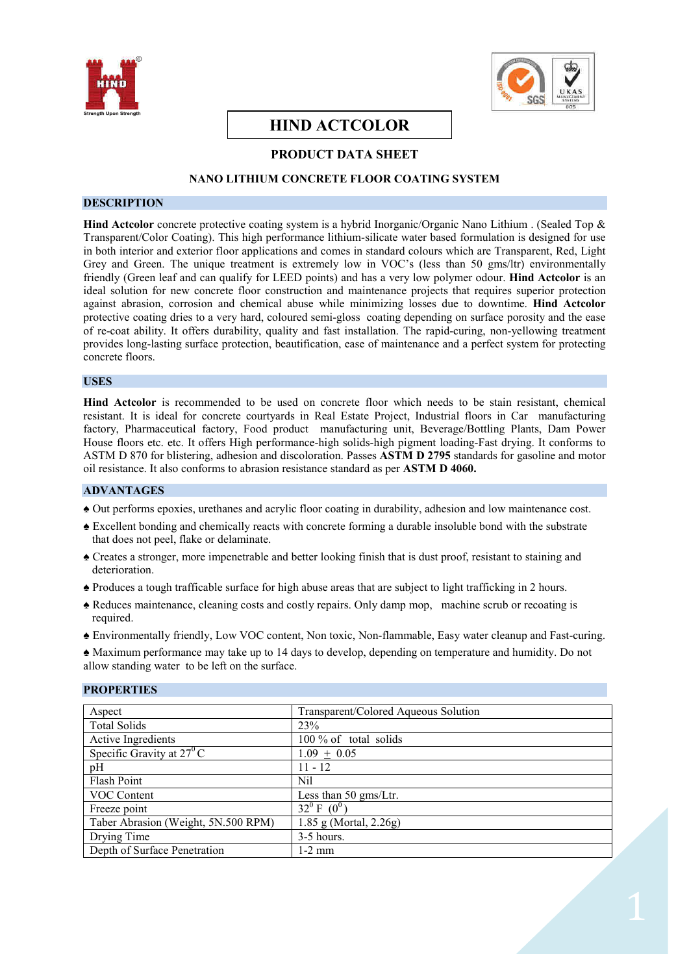



# **HIND ACTCOLOR**

# **PRODUCT DATA SHEET**

# **NANO LITHIUM CONCRETE FLOOR COATING SYSTEM**

### **DESCRIPTION**

**Hind Actcolor** concrete protective coating system is a hybrid Inorganic/Organic Nano Lithium . (Sealed Top & Transparent/Color Coating). This high performance lithium-silicate water based formulation is designed for use in both interior and exterior floor applications and comes in standard colours which are Transparent, Red, Light Grey and Green. The unique treatment is extremely low in VOC's (less than 50 gms/ltr) environmentally friendly (Green leaf and can qualify for LEED points) and has a very low polymer odour. **Hind Actcolor** is an ideal solution for new concrete floor construction and maintenance projects that requires superior protection against abrasion, corrosion and chemical abuse while minimizing losses due to downtime. **Hind Actcolor**  protective coating dries to a very hard, coloured semi-gloss coating depending on surface porosity and the ease of re-coat ability. It offers durability, quality and fast installation. The rapid-curing, non-yellowing treatment provides long-lasting surface protection, beautification, ease of maintenance and a perfect system for protecting concrete floors.

#### **USES**

**Hind Actcolor** is recommended to be used on concrete floor which needs to be stain resistant, chemical resistant. It is ideal for concrete courtyards in Real Estate Project, Industrial floors in Car manufacturing factory, Pharmaceutical factory, Food product manufacturing unit, Beverage/Bottling Plants, Dam Power House floors etc. etc. It offers High performance-high solids-high pigment loading-Fast drying. It conforms to ASTM D 870 for blistering, adhesion and discoloration. Passes **ASTM D 2795** standards for gasoline and motor oil resistance. It also conforms to abrasion resistance standard as per **ASTM D 4060.**

# **ADVANTAGES**

- ♠ Out performs epoxies, urethanes and acrylic floor coating in durability, adhesion and low maintenance cost.
- ♠ Excellent bonding and chemically reacts with concrete forming a durable insoluble bond with the substrate that does not peel, flake or delaminate.
- ♠ Creates a stronger, more impenetrable and better looking finish that is dust proof, resistant to staining and deterioration.
- ♠ Produces a tough trafficable surface for high abuse areas that are subject to light trafficking in 2 hours.
- ♠ Reduces maintenance, cleaning costs and costly repairs. Only damp mop, machine scrub or recoating is required.
- ♠ Environmentally friendly, Low VOC content, Non toxic, Non-flammable, Easy water cleanup and Fast-curing.

♠ Maximum performance may take up to 14 days to develop, depending on temperature and humidity. Do not allow standing water to be left on the surface.

| Aspect                              | Transparent/Colored Aqueous Solution |  |
|-------------------------------------|--------------------------------------|--|
| Total Solids                        | 23%                                  |  |
| Active Ingredients                  | 100 % of total solids                |  |
| Specific Gravity at $27^{\circ}$ C  | $1.09 \pm 0.05$                      |  |
| pH                                  | $11 - 12$                            |  |
| Flash Point                         | Nil                                  |  |
| <b>VOC Content</b>                  | Less than 50 gms/Ltr.                |  |
| Freeze point                        | $32^0$ F $(0^0)$                     |  |
| Taber Abrasion (Weight, 5N.500 RPM) | $1.85$ g (Mortal, $2.26g$ )          |  |
| Drying Time                         | $3-5$ hours.                         |  |
| Depth of Surface Penetration        | $1-2$ mm                             |  |

#### **PROPERTIES**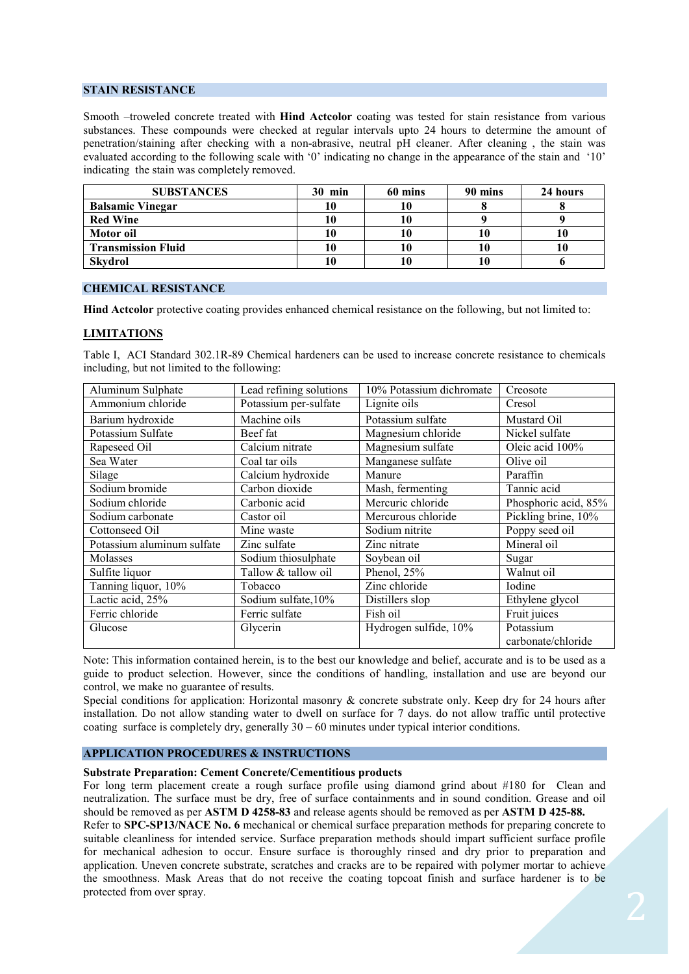## **STAIN RESISTANCE**

Smooth –troweled concrete treated with **Hind Actcolor** coating was tested for stain resistance from various substances. These compounds were checked at regular intervals upto 24 hours to determine the amount of penetration/staining after checking with a non-abrasive, neutral pH cleaner. After cleaning , the stain was evaluated according to the following scale with '0' indicating no change in the appearance of the stain and '10' indicating the stain was completely removed.

| <b>SUBSTANCES</b>         | $30$ min | 60 mins | 90 mins | 24 hours |
|---------------------------|----------|---------|---------|----------|
| <b>Balsamic Vinegar</b>   |          | 10      |         |          |
| <b>Red Wine</b>           |          | 10      |         |          |
| Motor oil                 |          | 10      |         |          |
| <b>Transmission Fluid</b> |          | 10      |         |          |
| <b>Skydrol</b>            |          | 10      |         |          |

# **CHEMICAL RESISTANCE**

**Hind Actcolor** protective coating provides enhanced chemical resistance on the following, but not limited to:

### **LIMITATIONS**

Table I, ACI Standard 302.1R-89 Chemical hardeners can be used to increase concrete resistance to chemicals including, but not limited to the following:

| Aluminum Sulphate          | Lead refining solutions | 10% Potassium dichromate | Creosote             |
|----------------------------|-------------------------|--------------------------|----------------------|
| Ammonium chloride          | Potassium per-sulfate   | Lignite oils             | Cresol               |
| Barium hydroxide           | Machine oils            | Potassium sulfate        | Mustard Oil          |
| Potassium Sulfate          | Beef fat                | Magnesium chloride       | Nickel sulfate       |
| Rapeseed Oil               | Calcium nitrate         | Magnesium sulfate        | Oleic acid 100%      |
| Sea Water                  | Coal tar oils           | Manganese sulfate        | Olive oil            |
| Silage                     | Calcium hydroxide       | Manure                   | Paraffin             |
| Sodium bromide             | Carbon dioxide          | Mash, fermenting         | Tannic acid          |
| Sodium chloride            | Carbonic acid           | Mercuric chloride        | Phosphoric acid, 85% |
| Sodium carbonate           | Castor oil              | Mercurous chloride       | Pickling brine, 10%  |
| Cottonseed Oil             | Mine waste              | Sodium nitrite           | Poppy seed oil       |
| Potassium aluminum sulfate | Zinc sulfate            | Zinc nitrate             | Mineral oil          |
| Molasses                   | Sodium thiosulphate     | Soybean oil              | Sugar                |
| Sulfite liquor             | Tallow & tallow oil     | Phenol, 25%              | Walnut oil           |
| Tanning liquor, 10%        | Tobacco                 | Zinc chloride            | Iodine               |
| Lactic acid, 25%           | Sodium sulfate, 10%     | Distillers slop          | Ethylene glycol      |
| Ferric chloride            | Ferric sulfate          | Fish oil                 | Fruit juices         |
| Glucose                    | Glycerin                | Hydrogen sulfide, 10%    | Potassium            |
|                            |                         |                          | carbonate/chloride   |

Note: This information contained herein, is to the best our knowledge and belief, accurate and is to be used as a guide to product selection. However, since the conditions of handling, installation and use are beyond our control, we make no guarantee of results.

Special conditions for application: Horizontal masonry & concrete substrate only. Keep dry for 24 hours after installation. Do not allow standing water to dwell on surface for 7 days. do not allow traffic until protective coating surface is completely dry, generally  $30 - 60$  minutes under typical interior conditions.

# **APPLICATION PROCEDURES & INSTRUCTIONS**

#### **Substrate Preparation: Cement Concrete/Cementitious products**

For long term placement create a rough surface profile using diamond grind about #180 for Clean and neutralization. The surface must be dry, free of surface containments and in sound condition. Grease and oil should be removed as per **ASTM D 4258-83** and release agents should be removed as per **ASTM D 425-88.**

Refer to **SPC-SP13/NACE No. 6** mechanical or chemical surface preparation methods for preparing concrete to suitable cleanliness for intended service. Surface preparation methods should impart sufficient surface profile for mechanical adhesion to occur. Ensure surface is thoroughly rinsed and dry prior to preparation and application. Uneven concrete substrate, scratches and cracks are to be repaired with polymer mortar to achieve the smoothness. Mask Areas that do not receive the coating topcoat finish and surface hardener is to be protected from over spray.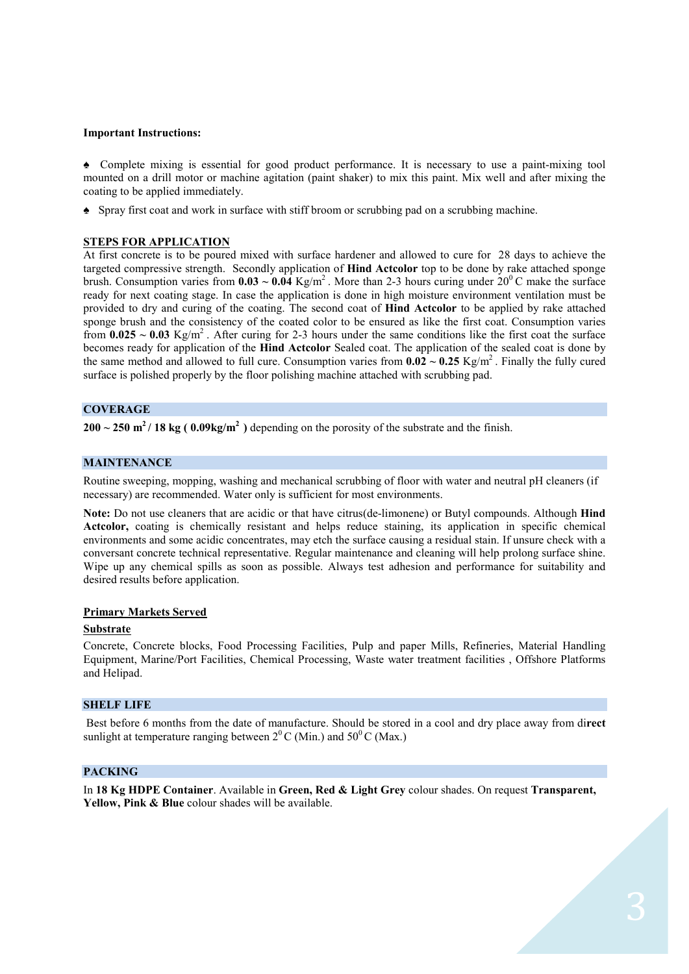## **Important Instructions:**

♠ Complete mixing is essential for good product performance. It is necessary to use a paint-mixing tool mounted on a drill motor or machine agitation (paint shaker) to mix this paint. Mix well and after mixing the coating to be applied immediately.

♠ Spray first coat and work in surface with stiff broom or scrubbing pad on a scrubbing machine.

## **STEPS FOR APPLICATION**

At first concrete is to be poured mixed with surface hardener and allowed to cure for 28 days to achieve the targeted compressive strength. Secondly application of **Hind Actcolor** top to be done by rake attached sponge brush. Consumption varies from  $0.03 \sim 0.04 \text{ Kg/m}^2$ . More than 2-3 hours curing under  $20^{\circ}$ C make the surface ready for next coating stage. In case the application is done in high moisture environment ventilation must be provided to dry and curing of the coating. The second coat of **Hind Actcolor** to be applied by rake attached sponge brush and the consistency of the coated color to be ensured as like the first coat. Consumption varies from  $0.025 \sim 0.03$  Kg/m<sup>2</sup>. After curing for 2-3 hours under the same conditions like the first coat the surface becomes ready for application of the **Hind Actcolor** Sealed coat. The application of the sealed coat is done by the same method and allowed to full cure. Consumption varies from  $0.02 \sim 0.25 \text{ Kg/m}^2$ . Finally the fully cured surface is polished properly by the floor polishing machine attached with scrubbing pad.

# **COVERAGE**

**200 ~ 250 m <sup>2</sup>/ 18 kg ( 0.09kg/m<sup>2</sup>)** depending on the porosity of the substrate and the finish.

#### **MAINTENANCE**

Routine sweeping, mopping, washing and mechanical scrubbing of floor with water and neutral pH cleaners (if necessary) are recommended. Water only is sufficient for most environments.

**Note:** Do not use cleaners that are acidic or that have citrus(de-limonene) or Butyl compounds. Although **Hind Actcolor,** coating is chemically resistant and helps reduce staining, its application in specific chemical environments and some acidic concentrates, may etch the surface causing a residual stain. If unsure check with a conversant concrete technical representative. Regular maintenance and cleaning will help prolong surface shine. Wipe up any chemical spills as soon as possible. Always test adhesion and performance for suitability and desired results before application.

#### **Primary Markets Served**

#### **Substrate**

Concrete, Concrete blocks, Food Processing Facilities, Pulp and paper Mills, Refineries, Material Handling Equipment, Marine/Port Facilities, Chemical Processing, Waste water treatment facilities , Offshore Platforms and Helipad.

#### **SHELF LIFE**

Best before 6 months from the date of manufacture. Should be stored in a cool and dry place away from di**rect**  sunlight at temperature ranging between  $2^{0}$  C (Min.) and  $50^{0}$  C (Max.)

#### **PACKING**

In **18 Kg HDPE Container**. Available in **Green, Red & Light Grey** colour shades. On request **Transparent,** Yellow, Pink & Blue colour shades will be available.